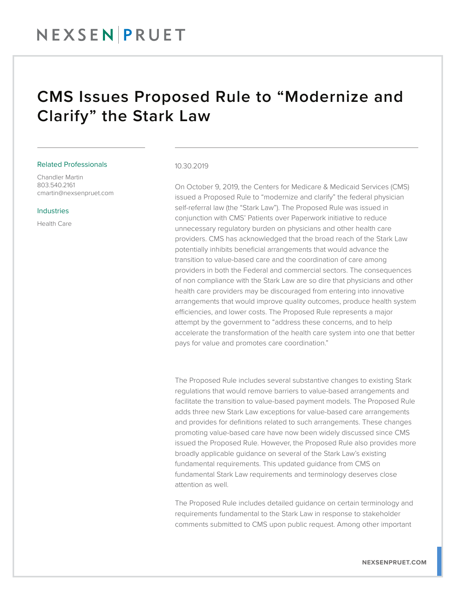## CMS Issues Proposed Rule to "Modernize and Clarify" the Stark Law

### Related Professionals

Chandler Martin 803.540.2161 cmartin@nexsenpruet.com

#### Industries

Health Care

#### 10.30.2019

On October 9, 2019, the Centers for Medicare & Medicaid Services (CMS) issued a Proposed Rule to "modernize and clarify" the federal physician self-referral law (the "Stark Law"). The Proposed Rule was issued in conjunction with CMS' Patients over Paperwork initiative to reduce unnecessary regulatory burden on physicians and other health care providers. CMS has acknowledged that the broad reach of the Stark Law potentially inhibits beneficial arrangements that would advance the transition to value-based care and the coordination of care among providers in both the Federal and commercial sectors. The consequences of non compliance with the Stark Law are so dire that physicians and other health care providers may be discouraged from entering into innovative arrangements that would improve quality outcomes, produce health system efficiencies, and lower costs. The Proposed Rule represents a major attempt by the government to "address these concerns, and to help accelerate the transformation of the health care system into one that better pays for value and promotes care coordination."

The Proposed Rule includes several substantive changes to existing Stark regulations that would remove barriers to value-based arrangements and facilitate the transition to value-based payment models. The Proposed Rule adds three new Stark Law exceptions for value-based care arrangements and provides for definitions related to such arrangements. These changes promoting value-based care have now been widely discussed since CMS issued the Proposed Rule. However, the Proposed Rule also provides more broadly applicable guidance on several of the Stark Law's existing fundamental requirements. This updated guidance from CMS on fundamental Stark Law requirements and terminology deserves close attention as well.

The Proposed Rule includes detailed guidance on certain terminology and requirements fundamental to the Stark Law in response to stakeholder comments submitted to CMS upon public request. Among other important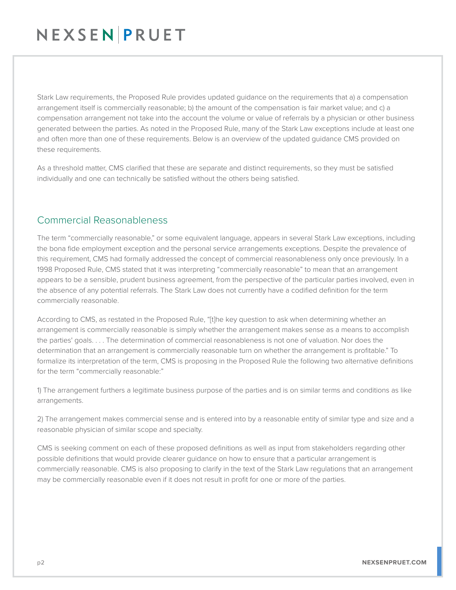# NEXSENPRUET

Stark Law requirements, the Proposed Rule provides updated guidance on the requirements that a) a compensation arrangement itself is commercially reasonable; b) the amount of the compensation is fair market value; and c) a compensation arrangement not take into the account the volume or value of referrals by a physician or other business generated between the parties. As noted in the Proposed Rule, many of the Stark Law exceptions include at least one and often more than one of these requirements. Below is an overview of the updated guidance CMS provided on these requirements.

As a threshold matter, CMS clarified that these are separate and distinct requirements, so they must be satisfied individually and one can technically be satisfied without the others being satisfied.

## Commercial Reasonableness

The term "commercially reasonable," or some equivalent language, appears in several Stark Law exceptions, including the bona fide employment exception and the personal service arrangements exceptions. Despite the prevalence of this requirement, CMS had formally addressed the concept of commercial reasonableness only once previously. In a 1998 Proposed Rule, CMS stated that it was interpreting "commercially reasonable" to mean that an arrangement appears to be a sensible, prudent business agreement, from the perspective of the particular parties involved, even in the absence of any potential referrals. The Stark Law does not currently have a codified definition for the term commercially reasonable.

According to CMS, as restated in the Proposed Rule, "[t]he key question to ask when determining whether an arrangement is commercially reasonable is simply whether the arrangement makes sense as a means to accomplish the parties' goals. . . . The determination of commercial reasonableness is not one of valuation. Nor does the determination that an arrangement is commercially reasonable turn on whether the arrangement is profitable." To formalize its interpretation of the term, CMS is proposing in the Proposed Rule the following two alternative definitions for the term "commercially reasonable:"

1) The arrangement furthers a legitimate business purpose of the parties and is on similar terms and conditions as like arrangements.

2) The arrangement makes commercial sense and is entered into by a reasonable entity of similar type and size and a reasonable physician of similar scope and specialty.

CMS is seeking comment on each of these proposed definitions as well as input from stakeholders regarding other possible definitions that would provide clearer guidance on how to ensure that a particular arrangement is commercially reasonable. CMS is also proposing to clarify in the text of the Stark Law regulations that an arrangement may be commercially reasonable even if it does not result in profit for one or more of the parties.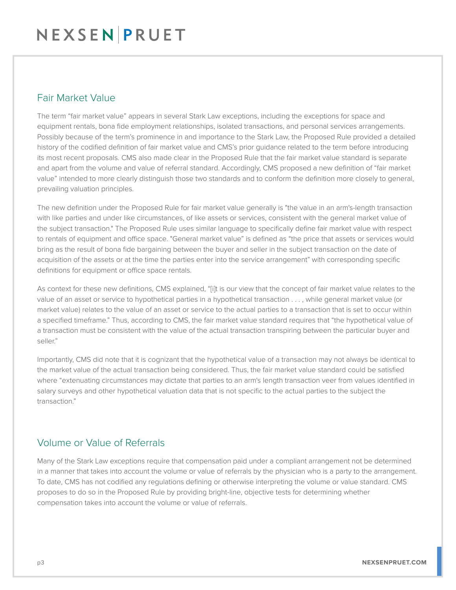### Fair Market Value

The term "fair market value" appears in several Stark Law exceptions, including the exceptions for space and equipment rentals, bona fide employment relationships, isolated transactions, and personal services arrangements. Possibly because of the term's prominence in and importance to the Stark Law, the Proposed Rule provided a detailed history of the codified definition of fair market value and CMS's prior guidance related to the term before introducing its most recent proposals. CMS also made clear in the Proposed Rule that the fair market value standard is separate and apart from the volume and value of referral standard. Accordingly, CMS proposed a new definition of "fair market value" intended to more clearly distinguish those two standards and to conform the definition more closely to general, prevailing valuation principles.

The new definition under the Proposed Rule for fair market value generally is "the value in an arm's-length transaction with like parties and under like circumstances, of like assets or services, consistent with the general market value of the subject transaction." The Proposed Rule uses similar language to specifically define fair market value with respect to rentals of equipment and office space. "General market value" is defined as "the price that assets or services would bring as the result of bona fide bargaining between the buyer and seller in the subject transaction on the date of acquisition of the assets or at the time the parties enter into the service arrangement" with corresponding specific definitions for equipment or office space rentals.

As context for these new definitions, CMS explained, "[i]t is our view that the concept of fair market value relates to the value of an asset or service to hypothetical parties in a hypothetical transaction . . . , while general market value (or market value) relates to the value of an asset or service to the actual parties to a transaction that is set to occur within a specified timeframe." Thus, according to CMS, the fair market value standard requires that "the hypothetical value of a transaction must be consistent with the value of the actual transaction transpiring between the particular buyer and seller."

Importantly, CMS did note that it is cognizant that the hypothetical value of a transaction may not always be identical to the market value of the actual transaction being considered. Thus, the fair market value standard could be satisfied where "extenuating circumstances may dictate that parties to an arm's length transaction veer from values identified in salary surveys and other hypothetical valuation data that is not specific to the actual parties to the subject the transaction."

## Volume or Value of Referrals

Many of the Stark Law exceptions require that compensation paid under a compliant arrangement not be determined in a manner that takes into account the volume or value of referrals by the physician who is a party to the arrangement. To date, CMS has not codified any regulations defining or otherwise interpreting the volume or value standard. CMS proposes to do so in the Proposed Rule by providing bright-line, objective tests for determining whether compensation takes into account the volume or value of referrals.